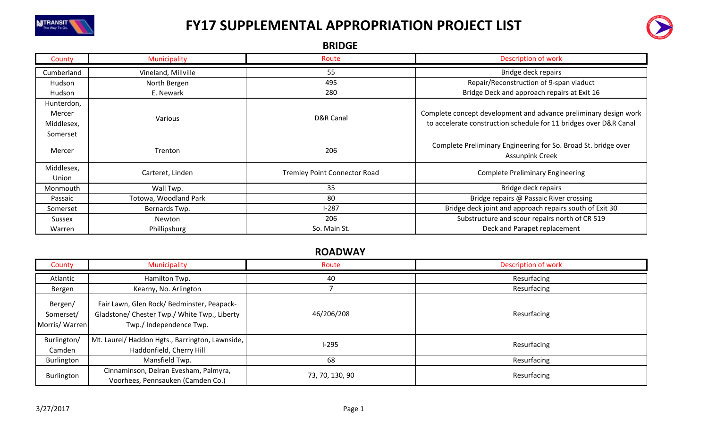



BRIDGE

| County                                         | Municipality          | Route                               | <b>Description of work</b>                                                                                                            |
|------------------------------------------------|-----------------------|-------------------------------------|---------------------------------------------------------------------------------------------------------------------------------------|
| Cumberland                                     | Vineland, Millville   | 55                                  | Bridge deck repairs                                                                                                                   |
| Hudson                                         | North Bergen          | 495                                 | Repair/Reconstruction of 9-span viaduct                                                                                               |
| Hudson                                         | E. Newark             | 280                                 | Bridge Deck and approach repairs at Exit 16                                                                                           |
| Hunterdon,<br>Mercer<br>Middlesex,<br>Somerset | Various               | D&R Canal                           | Complete concept development and advance preliminary design work<br>to accelerate construction schedule for 11 bridges over D&R Canal |
| Mercer                                         | Trenton               | 206                                 | Complete Preliminary Engineering for So. Broad St. bridge over<br><b>Assunpink Creek</b>                                              |
| Middlesex,<br>Union                            | Carteret, Linden      | <b>Tremley Point Connector Road</b> | <b>Complete Preliminary Engineering</b>                                                                                               |
| Monmouth                                       | Wall Twp.             | 35                                  | Bridge deck repairs                                                                                                                   |
| Passaic                                        | Totowa, Woodland Park | 80                                  | Bridge repairs @ Passaic River crossing                                                                                               |
| Somerset                                       | Bernards Twp.         | $1-287$                             | Bridge deck joint and approach repairs south of Exit 30                                                                               |
| Sussex                                         | Newton                | 206                                 | Substructure and scour repairs north of CR 519                                                                                        |
| Warren                                         | Phillipsburg          | So. Main St.                        | Deck and Parapet replacement                                                                                                          |

#### ROADWAY

| County                                 | Municipality                                                                                                         | Route           | Description of work |
|----------------------------------------|----------------------------------------------------------------------------------------------------------------------|-----------------|---------------------|
| Atlantic                               | Hamilton Twp.                                                                                                        | 40              | Resurfacing         |
| Bergen                                 | Kearny, No. Arlington                                                                                                |                 | Resurfacing         |
| Bergen/<br>Somerset/<br>Morris/ Warren | Fair Lawn, Glen Rock/Bedminster, Peapack-<br>Gladstone/ Chester Twp./ White Twp., Liberty<br>Twp./ Independence Twp. | 46/206/208      | Resurfacing         |
| Burlington/<br>Camden                  | Mt. Laurel/ Haddon Hgts., Barrington, Lawnside,<br>Haddonfield, Cherry Hill                                          | $1-295$         | Resurfacing         |
| Burlington                             | Mansfield Twp.                                                                                                       | 68              | Resurfacing         |
| Burlington                             | Cinnaminson, Delran Evesham, Palmyra,<br>Voorhees, Pennsauken (Camden Co.)                                           | 73, 70, 130, 90 | Resurfacing         |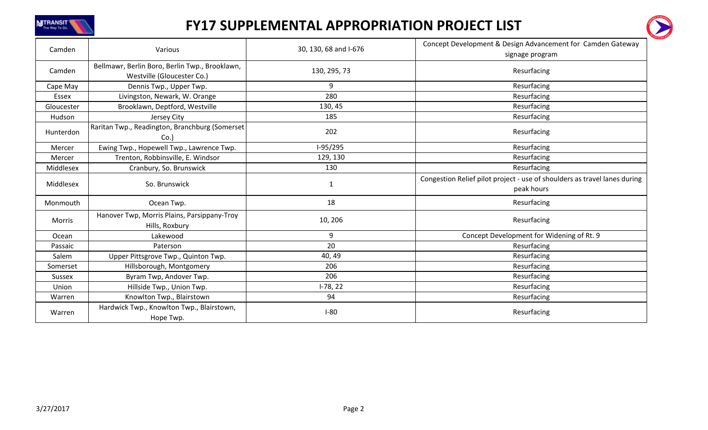



| Camden        | Various                                                                      | 30, 130, 68 and I-676 | Concept Development & Design Advancement for Camden Gateway<br>signage program          |
|---------------|------------------------------------------------------------------------------|-----------------------|-----------------------------------------------------------------------------------------|
| Camden        | Bellmawr, Berlin Boro, Berlin Twp., Brooklawn,<br>Westville (Gloucester Co.) | 130, 295, 73          | Resurfacing                                                                             |
| Cape May      | Dennis Twp., Upper Twp.                                                      | 9                     | Resurfacing                                                                             |
| Essex         | Livingston, Newark, W. Orange                                                | 280                   | Resurfacing                                                                             |
| Gloucester    | Brooklawn, Deptford, Westville                                               | 130, 45               | Resurfacing                                                                             |
| Hudson        | Jersey City                                                                  | 185                   | Resurfacing                                                                             |
| Hunterdon     | Raritan Twp., Readington, Branchburg (Somerset<br>Co.                        | 202                   | Resurfacing                                                                             |
| Mercer        | Ewing Twp., Hopewell Twp., Lawrence Twp.                                     | I-95/295              | Resurfacing                                                                             |
| Mercer        | Trenton, Robbinsville, E. Windsor                                            | 129, 130              | Resurfacing                                                                             |
| Middlesex     | Cranbury, So. Brunswick                                                      | 130                   | Resurfacing                                                                             |
| Middlesex     | So. Brunswick                                                                | 1                     | Congestion Relief pilot project - use of shoulders as travel lanes during<br>peak hours |
| Monmouth      | Ocean Twp.                                                                   | 18                    | Resurfacing                                                                             |
| Morris        | Hanover Twp, Morris Plains, Parsippany-Troy<br>Hills, Roxbury                | 10, 206               | Resurfacing                                                                             |
| Ocean         | Lakewood                                                                     | 9                     | Concept Development for Widening of Rt. 9                                               |
| Passaic       | Paterson                                                                     | 20                    | Resurfacing                                                                             |
| Salem         | Upper Pittsgrove Twp., Quinton Twp.                                          | 40, 49                | Resurfacing                                                                             |
| Somerset      | Hillsborough, Montgomery                                                     | 206                   | Resurfacing                                                                             |
| <b>Sussex</b> | Byram Twp, Andover Twp.                                                      | 206                   | Resurfacing                                                                             |
| Union         | Hillside Twp., Union Twp.                                                    | $I-78, 22$            | Resurfacing                                                                             |
| Warren        | Knowlton Twp., Blairstown                                                    | 94                    | Resurfacing                                                                             |
| Warren        | Hardwick Twp., Knowlton Twp., Blairstown,<br>Hope Twp.                       | $I-80$                | Resurfacing                                                                             |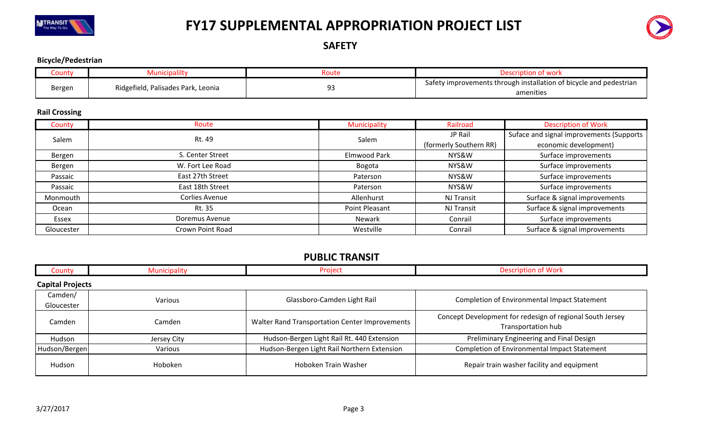



SAFETY

#### Bicycle/Pedestrian

| County | <i>i</i> unicipality               | Route | <b>WUIN</b>                                                                   |
|--------|------------------------------------|-------|-------------------------------------------------------------------------------|
| Bergen |                                    | Q٥    | <i>i</i> improvements through installation of bicycle and pedestrian<br>safet |
|        | Ridgefield, Palisades Park, Leonia | --    | amenities                                                                     |

#### Rail Crossing

| County     | Route                 | Municipality   | Railroad               | <b>Description of Work</b>               |
|------------|-----------------------|----------------|------------------------|------------------------------------------|
| Salem      | Rt. 49                | Salem          | JP Rail                | Suface and signal improvements (Supports |
|            |                       |                | (formerly Southern RR) | economic development)                    |
| Bergen     | S. Center Street      | Elmwood Park   | NYS&W                  | Surface improvements                     |
| Bergen     | W. Fort Lee Road      | Bogota         | NYS&W                  | Surface improvements                     |
| Passaic    | East 27th Street      | Paterson       | NYS&W                  | Surface improvements                     |
| Passaic    | East 18th Street      | Paterson       | NYS&W                  | Surface improvements                     |
| Monmouth   | <b>Corlies Avenue</b> | Allenhurst     | <b>NJ Transit</b>      | Surface & signal improvements            |
| Ocean      | Rt. 35                | Point Pleasant | NJ Transit             | Surface & signal improvements            |
| Essex      | Doremus Avenue        | Newark         | Conrail                | Surface improvements                     |
| Gloucester | Crown Point Road      | Westville      | Conrail                | Surface & signal improvements            |

#### PUBLIC TRANSIT

| County                | Municipality            | Project                                        | <b>Description of Work</b>                                                      |  |  |  |
|-----------------------|-------------------------|------------------------------------------------|---------------------------------------------------------------------------------|--|--|--|
|                       | <b>Capital Projects</b> |                                                |                                                                                 |  |  |  |
| Camden/<br>Gloucester | Various                 | Glassboro-Camden Light Rail                    | Completion of Environmental Impact Statement                                    |  |  |  |
| Camden                | Camden                  | Walter Rand Transportation Center Improvements | Concept Development for redesign of regional South Jersey<br>Transportation hub |  |  |  |
| Hudson                | Jersey City             | Hudson-Bergen Light Rail Rt. 440 Extension     | Preliminary Engineering and Final Design                                        |  |  |  |
| Hudson/Bergen         | Various                 | Hudson-Bergen Light Rail Northern Extension    | <b>Completion of Environmental Impact Statement</b>                             |  |  |  |
| Hudson                | Hoboken                 | Hoboken Train Washer                           | Repair train washer facility and equipment                                      |  |  |  |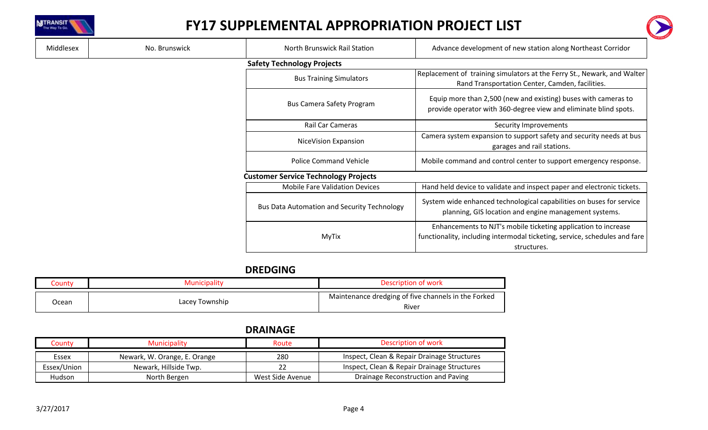



| Middlesex                         | No. Brunswick | North Brunswick Rail Station                       | Advance development of new station along Northeast Corridor                                                                                                 |  |  |
|-----------------------------------|---------------|----------------------------------------------------|-------------------------------------------------------------------------------------------------------------------------------------------------------------|--|--|
| <b>Safety Technology Projects</b> |               |                                                    |                                                                                                                                                             |  |  |
|                                   |               | <b>Bus Training Simulators</b>                     | Replacement of training simulators at the Ferry St., Newark, and Walter<br>Rand Transportation Center, Camden, facilities.                                  |  |  |
|                                   |               | <b>Bus Camera Safety Program</b>                   | Equip more than 2,500 (new and existing) buses with cameras to<br>provide operator with 360-degree view and eliminate blind spots.                          |  |  |
|                                   |               | Rail Car Cameras                                   | Security Improvements                                                                                                                                       |  |  |
|                                   |               | NiceVision Expansion                               | Camera system expansion to support safety and security needs at bus<br>garages and rail stations.                                                           |  |  |
|                                   |               | <b>Police Command Vehicle</b>                      | Mobile command and control center to support emergency response.                                                                                            |  |  |
|                                   |               | <b>Customer Service Technology Projects</b>        |                                                                                                                                                             |  |  |
|                                   |               | <b>Mobile Fare Validation Devices</b>              | Hand held device to validate and inspect paper and electronic tickets.                                                                                      |  |  |
|                                   |               | <b>Bus Data Automation and Security Technology</b> | System wide enhanced technological capabilities on buses for service<br>planning, GIS location and engine management systems.                               |  |  |
|                                   |               | MyTix                                              | Enhancements to NJT's mobile ticketing application to increase<br>functionality, including intermodal ticketing, service, schedules and fare<br>structures. |  |  |

### DREDGING

| <b>County</b> |                | Description of work                                 |
|---------------|----------------|-----------------------------------------------------|
| Ocean         | Lacey Township | Maintenance dredging of five channels in the Forked |
|               |                | River                                               |

### DRAINAGE

| County      | <b>Municipality</b>          | Route            | Description of work                         |
|-------------|------------------------------|------------------|---------------------------------------------|
| Essex       | Newark, W. Orange, E. Orange | 280              | Inspect, Clean & Repair Drainage Structures |
| Essex/Union | Newark, Hillside Twp.        |                  | Inspect, Clean & Repair Drainage Structures |
| Hudson      | North Bergen                 | West Side Avenue | Drainage Reconstruction and Paving          |